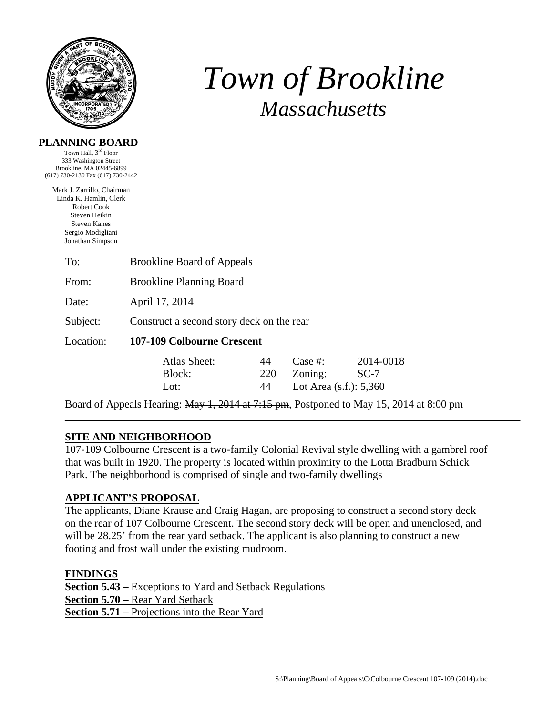

# *Town of Brookline Massachusetts*

### **PLANNING BOARD**

Town Hall, 3rd Floor 333 Washington Street Brookline, MA 02445-6899 (617) 730-2130 Fax (617) 730-2442

Mark J. Zarrillo, Chairman Linda K. Hamlin, Clerk Robert Cook Steven Heikin Steven Kanes Sergio Modigliani Jonathan Simpson

| To:       | <b>Brookline Board of Appeals</b>         |                 |                                                  |                     |  |  |
|-----------|-------------------------------------------|-----------------|--------------------------------------------------|---------------------|--|--|
| From:     | <b>Brookline Planning Board</b>           |                 |                                                  |                     |  |  |
| Date:     | April 17, 2014                            |                 |                                                  |                     |  |  |
| Subject:  | Construct a second story deck on the rear |                 |                                                  |                     |  |  |
| Location: | 107-109 Colbourne Crescent                |                 |                                                  |                     |  |  |
|           | Atlas Sheet:<br>Block:<br>Lot:            | 44<br>220<br>44 | Case  #:<br>Zoning:<br>Lot Area $(s.f.)$ : 5,360 | 2014-0018<br>$SC-7$ |  |  |

Board of Appeals Hearing: May 1, 2014 at 7:15 pm, Postponed to May 15, 2014 at 8:00 pm

# **SITE AND NEIGHBORHOOD**

107-109 Colbourne Crescent is a two-family Colonial Revival style dwelling with a gambrel roof that was built in 1920. The property is located within proximity to the Lotta Bradburn Schick Park. The neighborhood is comprised of single and two-family dwellings

# **APPLICANT'S PROPOSAL**

The applicants, Diane Krause and Craig Hagan, are proposing to construct a second story deck on the rear of 107 Colbourne Crescent. The second story deck will be open and unenclosed, and will be 28.25' from the rear yard setback. The applicant is also planning to construct a new footing and frost wall under the existing mudroom.

# **FINDINGS**

**Section 5.43 –** Exceptions to Yard and Setback Regulations **Section 5.70 –** Rear Yard Setback **Section 5.71 –** Projections into the Rear Yard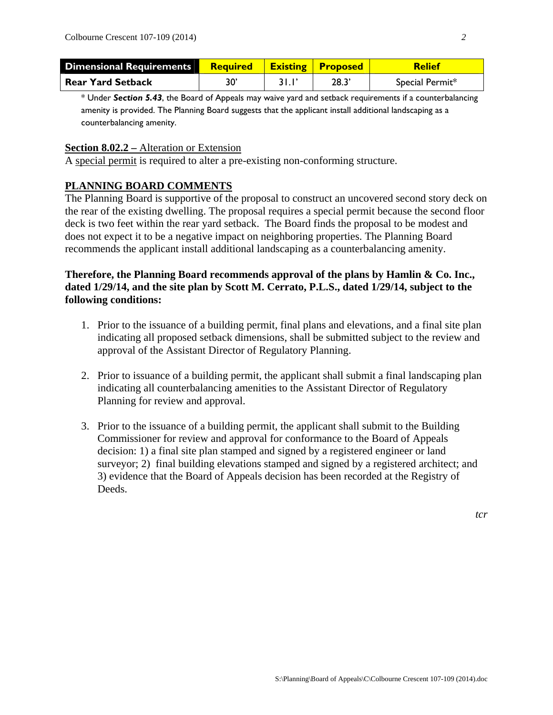| <b>Dimensional Requirements</b> | <b>Required   Existing   Proposed</b> |      | Relief          |
|---------------------------------|---------------------------------------|------|-----------------|
| <b>Rear Yard Setback</b>        | 30                                    | 28.3 | Special Permit* |

\* Under *Section 5.43*, the Board of Appeals may waive yard and setback requirements if a counterbalancing amenity is provided. The Planning Board suggests that the applicant install additional landscaping as a counterbalancing amenity.

#### **Section 8.02.2 –** Alteration or Extension

A special permit is required to alter a pre-existing non-conforming structure.

#### **PLANNING BOARD COMMENTS**

The Planning Board is supportive of the proposal to construct an uncovered second story deck on the rear of the existing dwelling. The proposal requires a special permit because the second floor deck is two feet within the rear yard setback. The Board finds the proposal to be modest and does not expect it to be a negative impact on neighboring properties. The Planning Board recommends the applicant install additional landscaping as a counterbalancing amenity.

### **Therefore, the Planning Board recommends approval of the plans by Hamlin & Co. Inc., dated 1/29/14, and the site plan by Scott M. Cerrato, P.L.S., dated 1/29/14, subject to the following conditions:**

- 1. Prior to the issuance of a building permit, final plans and elevations, and a final site plan indicating all proposed setback dimensions, shall be submitted subject to the review and approval of the Assistant Director of Regulatory Planning.
- 2. Prior to issuance of a building permit, the applicant shall submit a final landscaping plan indicating all counterbalancing amenities to the Assistant Director of Regulatory Planning for review and approval.
- 3. Prior to the issuance of a building permit, the applicant shall submit to the Building Commissioner for review and approval for conformance to the Board of Appeals decision: 1) a final site plan stamped and signed by a registered engineer or land surveyor; 2) final building elevations stamped and signed by a registered architect; and 3) evidence that the Board of Appeals decision has been recorded at the Registry of Deeds.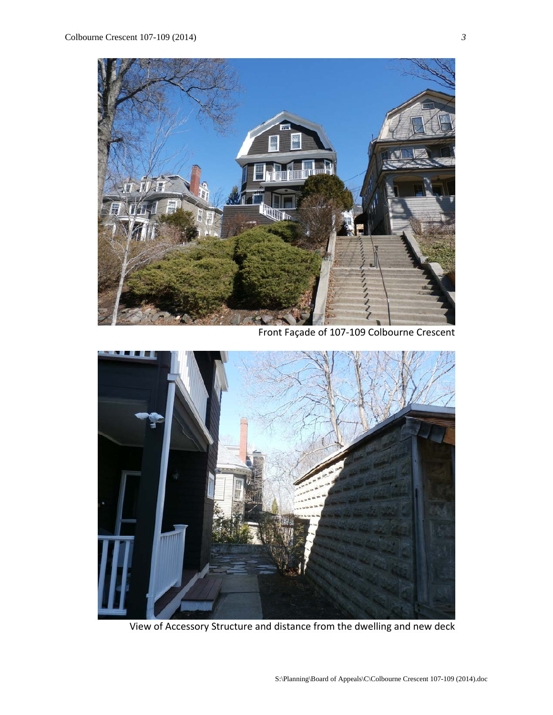

Front Façade of 107‐109 Colbourne Crescent



View of Accessory Structure and distance from the dwelling and new deck